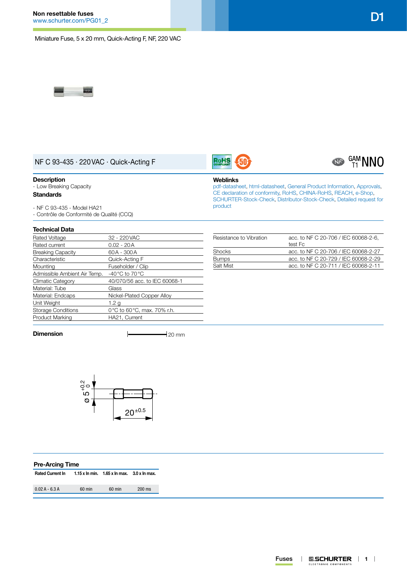

Miniature Fuse, 5 x 20 mm, Quick-Acting F, NF, 220 VAC



## NF C 93-435 · 220VAC · Quick-Acting F

### **Description**

- Low Breaking Capacity

### **Standards**

- NF C 93-435 - Model HA21 - Contrôle de Conformité de Qualité (CCQ)

#### **Technical Data**

| Rated Voltage                | 32 - 220 VAC                        |
|------------------------------|-------------------------------------|
| Rated current                | $0.02 - 20A$                        |
| <b>Breaking Capacity</b>     | 60A - 300A                          |
| Characteristic               | Quick-Acting F                      |
| Mounting                     | Fuseholder / Clip                   |
| Admissible Ambient Air Temp. | -40 $^{\circ}$ C to 70 $^{\circ}$ C |
| Climatic Category            | 40/070/56 acc. to IEC 60068-1       |
| Material: Tube               | Glass                               |
| Material: Endcaps            | Nickel-Plated Copper Alloy          |
| Unit Weight                  | 1.2 <sub>q</sub>                    |
| <b>Storage Conditions</b>    | 0 °C to 60 °C, max. 70% r.h.        |
| <b>Product Marking</b>       | HA21, Current                       |
|                              |                                     |

# **Weblinks**

**RoHS** 

[pdf-datasheet](http://www.schurter.ch/pdf/english/typ_D1.pdf), [html-datasheet](http://www.schurter.ch/en/datasheet/D1), [General Product Information,](http://www.schurter.ch/products/fuses_general_info.asp) [Approvals](http://www.schurter.ch/en/Documents-References/Approvals/(id)/D1), [CE declaration of conformity,](http://www.schurter.com/en/Documents-References/Approvals/(id)/D1+AND+FIELD+CertificationInstitute=SAG) [RoHS](http://www.schurter.ch/company/rohs.asp), [CHINA-RoHS](http://www.schurter.ch/company/china_rohs.asp), [REACH,](http://www.schurter.ch/company/reach.asp) [e-Shop,](http://www.schurter.ch/en/datasheet/D1#Anker_Variants) [SCHURTER-Stock-Check,](http://www.schurter.ch/en/Stock-Check/Stock-Check-SCHURTER?MAKTX=D1&COM_QTY=1&AUTOSEARCH=true) [Distributor-Stock-Check](http://www.schurter.com/en/Stock-Check/Stock-Check-Distributor?partnumber1=D1), [Detailed request for](http://www.schurter.com/en/Contacts/Contact-Form?type=D1)  [product](http://www.schurter.com/en/Contacts/Contact-Form?type=D1)

| Resistance to Vibration | acc. to NF C 20-706 / IEC 60068-2-6,<br>test Fc |
|-------------------------|-------------------------------------------------|
| Shocks                  | acc. to NF C 20-706 / IEC 60068-2-27            |
| <b>Bumps</b>            | acc. to NF C 20-729 / IEC 60068-2-29            |
| Salt Mist               | acc. to NF C 20-711 / IEC 60068-2-11            |

## **Dimension**  $\qquad \qquad \qquad$  20 mm



## **Pre-Arcing Time**

**Rated Current In 1.15 x In min. 1.65 x In max. 3.0 x In max.** 0.02 A - 6.3 A 60 min 60 min 200 ms  $G_{T1}^{GAM}NNO$ 

NF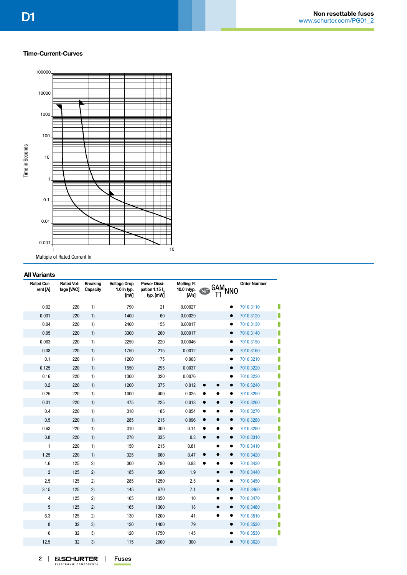### **Time-Current-Curves**



## **All Variants**

| Rated Cur-<br>rent [A] | <b>Rated Vol-</b><br>tage [VAC] | <b>Breaking</b><br>Capacity | <b>Voltage Drop</b><br>$1.0$ In typ.<br>[mV] | <b>Power Dissi-</b><br>pation 1.15 l <sub>n</sub><br>typ. [mW] | Melting <sup>2</sup> t<br>10.0 Intyp.<br>[A <sup>2</sup> s] | GAMNNO                              | <b>Order Number</b> |
|------------------------|---------------------------------|-----------------------------|----------------------------------------------|----------------------------------------------------------------|-------------------------------------------------------------|-------------------------------------|---------------------|
| 0.02                   | 220                             | 1)                          | 790                                          | 21                                                             | 0.00027                                                     |                                     | 7010.3110           |
| 0.031                  | 220                             | 1)                          | 1400                                         | 60                                                             | 0.00029                                                     | $\bullet$                           | 7010.3120           |
| 0.04                   | 220                             | 1)                          | 2400                                         | 155                                                            | 0.00017                                                     | ٠                                   | 7010.3130           |
| 0.05                   | 220                             | 1)                          | 3300                                         | 260                                                            | 0.00017                                                     | $\bullet$                           | 7010.3140           |
| 0.063                  | 220                             | 1)                          | 2250                                         | 220                                                            | 0.00046                                                     | ٠                                   | 7010.3150           |
| 0.08                   | 220                             | 1)                          | 1750                                         | 215                                                            | 0.0012                                                      | $\bullet$                           | 7010.3160           |
| 0.1                    | 220                             | 1)                          | 1200                                         | 175                                                            | 0.003                                                       | ٠                                   | 7010.3210           |
| 0.125                  | 220                             | 1)                          | 1550                                         | 295                                                            | 0.0037                                                      | $\bullet$                           | 7010.3220           |
| 0.16                   | 220                             | 1)                          | 1300                                         | 320                                                            | 0.0076                                                      | ٠                                   | 7010.3230           |
| 0.2                    | 220                             | 1)                          | 1200                                         | 375                                                            | 0.012                                                       | $\bullet$                           | 7010.3240           |
| 0.25                   | 220                             | 1)                          | 1000                                         | 400                                                            | 0.025                                                       | $\bullet$                           | 7010.3250           |
| 0.31                   | 220                             | 1)                          | 475                                          | 225                                                            | 0.018                                                       | $\bullet$<br>$\bullet$              | 7010.3260           |
| 0.4                    | 220                             | 1)                          | 310                                          | 185                                                            | 0.054                                                       | $\bullet$                           | 7010.3270           |
| 0.5                    | 220                             | 1)                          | 285                                          | 215                                                            | 0.096                                                       | $\bullet$<br>$\bullet$              | 7010.3280           |
| 0.63                   | 220                             | 1)                          | 310                                          | 300                                                            | 0.14                                                        | $\bullet$<br>$\bullet$              | 7010.3290           |
| 0.8                    | 220                             | 1)                          | 270                                          | 335                                                            | 0.3                                                         | $\bullet$<br>$\bullet$<br>$\bullet$ | 7010.3310           |
| $\mathbf{1}$           | 220                             | 1)                          | 150                                          | 215                                                            | 0.81                                                        | $\bullet$                           | 7010.3410           |
| 1.25                   | 220                             | 1)                          | 325                                          | 660                                                            | 0.47                                                        | $\bullet$<br>$\bullet$              | 7010.3420           |
| 1.6                    | 125                             | 2)                          | 300                                          | 790                                                            | 0.93                                                        | $\bullet$                           | 7010.3430           |
| $\overline{2}$         | 125                             | 2)                          | 185                                          | 560                                                            | 1.9                                                         | $\bullet$<br>$\bullet$              | 7010.3440           |
| 2.5                    | 125                             | 2)                          | 285                                          | 1250                                                           | 2.5                                                         | ٠                                   | 7010.3450           |
| 3.15                   | 125                             | 2)                          | 145                                          | 670                                                            | 7.1                                                         | $\bullet$                           | 7010.3460           |
| 4                      | 125                             | 2)                          | 165                                          | 1050                                                           | 10                                                          |                                     | 7010.3470           |
| 5                      | 125                             | 2)                          | 165                                          | 1300                                                           | 18                                                          | $\bullet$                           | 7010.3480           |
| 6.3                    | 125                             | 2)                          | 130                                          | 1200                                                           | 41                                                          | $\bullet$<br>٠                      | 7010.3510           |
| $\, 8$                 | 32                              | 3)                          | 120                                          | 1400                                                           | 79                                                          | $\bullet$                           | 7010.3520           |
| 10                     | 32                              | 3)                          | 120                                          | 1750                                                           | 145                                                         |                                     | 7010.3530           |
| 12.5                   | 32                              | 3)                          | 115                                          | 2000                                                           | 300                                                         | $\bullet$                           | 7010.3620           |